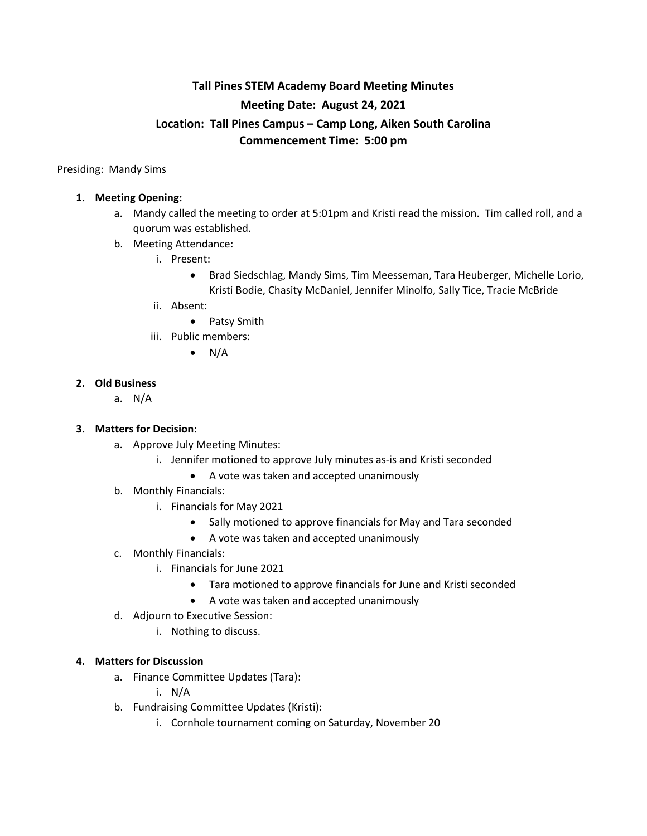# **Tall Pines STEM Academy Board Meeting Minutes Meeting Date: August 24, 2021 Location: Tall Pines Campus – Camp Long, Aiken South Carolina Commencement Time: 5:00 pm**

Presiding: Mandy Sims

## **1. Meeting Opening:**

- a. Mandy called the meeting to order at 5:01pm and Kristi read the mission. Tim called roll, and a quorum was established.
- b. Meeting Attendance:
	- i. Present:
		- Brad Siedschlag, Mandy Sims, Tim Meesseman, Tara Heuberger, Michelle Lorio, Kristi Bodie, Chasity McDaniel, Jennifer Minolfo, Sally Tice, Tracie McBride
	- ii. Absent:
		- Patsy Smith
	- iii. Public members:
		- $\bullet$  N/A

### **2. Old Business**

a. N/A

## **3. Matters for Decision:**

- a. Approve July Meeting Minutes:
	- i. Jennifer motioned to approve July minutes as-is and Kristi seconded
		- A vote was taken and accepted unanimously
- b. Monthly Financials:
	- i. Financials for May 2021
		- Sally motioned to approve financials for May and Tara seconded
		- A vote was taken and accepted unanimously
- c. Monthly Financials:
	- i. Financials for June 2021
		- Tara motioned to approve financials for June and Kristi seconded
		- A vote was taken and accepted unanimously
- d. Adjourn to Executive Session:
	- i. Nothing to discuss.

### **4. Matters for Discussion**

a. Finance Committee Updates (Tara):

i. N/A

- b. Fundraising Committee Updates (Kristi):
	- i. Cornhole tournament coming on Saturday, November 20